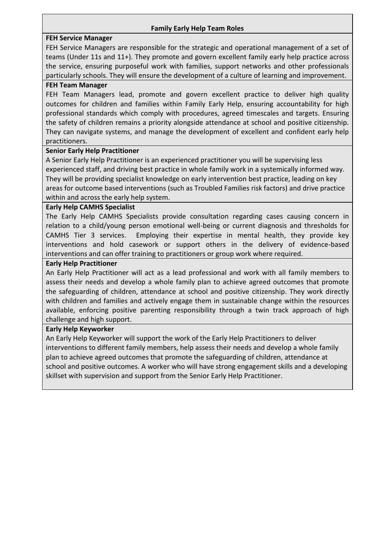## **Family Early Help Team Roles**

## **FEH Service Manager**

FEH Service Managers are responsible for the strategic and operational management of a set of teams (Under 11s and 11+). They promote and govern excellent family early help practice across the service, ensuring purposeful work with families, support networks and other professionals particularly schools. They will ensure the development of a culture of learning and improvement.

### **FEH Team Manager**

FEH Team Managers lead, promote and govern excellent practice to deliver high quality outcomes for children and families within Family Early Help, ensuring accountability for high professional standards which comply with procedures, agreed timescales and targets. Ensuring the safety of children remains a priority alongside attendance at school and positive citizenship. They can navigate systems, and manage the development of excellent and confident early help practitioners.

## **Senior Early Help Practitioner**

A Senior Early Help Practitioner is an experienced practitioner you will be supervising less experienced staff, and driving best practice in whole family work in a systemically informed way. They will be providing specialist knowledge on early intervention best practice, leading on key areas for outcome based interventions (such as Troubled Families risk factors) and drive practice within and across the early help system.

#### **Early Help CAMHS Specialist**

The Early Help CAMHS Specialists provide consultation regarding cases causing concern in relation to a child/young person emotional well-being or current diagnosis and thresholds for CAMHS Tier 3 services. Employing their expertise in mental health, they provide key interventions and hold casework or support others in the delivery of evidence-based interventions and can offer training to practitioners or group work where required.

## **Early Help Practitioner**

An Early Help Practitioner will act as a lead professional and work with all family members to assess their needs and develop a whole family plan to achieve agreed outcomes that promote the safeguarding of children, attendance at school and positive citizenship. They work directly with children and families and actively engage them in sustainable change within the resources available, enforcing positive parenting responsibility through a twin track approach of high challenge and high support.

#### **Early Help Keyworker**

An Early Help Keyworker will support the work of the Early Help Practitioners to deliver interventions to different family members, help assess their needs and develop a whole family plan to achieve agreed outcomes that promote the safeguarding of children, attendance at school and positive outcomes. A worker who will have strong engagement skills and a developing skillset with supervision and support from the Senior Early Help Practitioner.